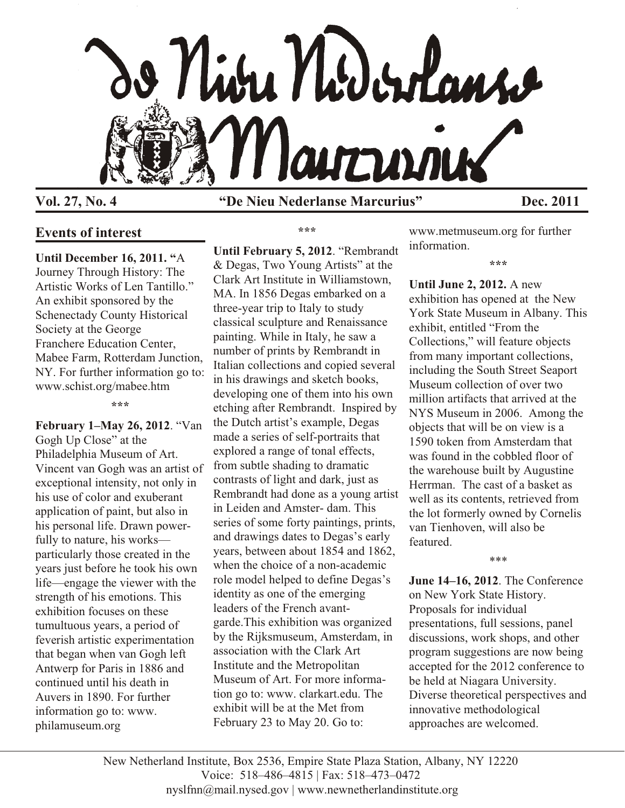

**Vol. 27, No. 4 "De Nieu Nederlanse Marcurius" Dec. 2011**

# **Events of interest**

**Until December 16, 2011. "**A Journey Through History: The Artistic Works of Len Tantillo." An exhibit sponsored by the Schenectady County Historical Society at the George Franchere Education Center, Mabee Farm, Rotterdam Junction, NY. For further information go to: www.schist.org/mabee.htm

**\*\*\***

**February 1–May 26, 2012**. "Van Gogh Up Close" at the Philadelphia Museum of Art. Vincent van Gogh was an artist of exceptional intensity, not only in his use of color and exuberant application of paint, but also in his personal life. Drawn powerfully to nature, his works particularly those created in the years just before he took his own life—engage the viewer with the strength of his emotions. This exhibition focuses on these tumultuous years, a period of feverish artistic experimentation that began when van Gogh left Antwerp for Paris in 1886 and continued until his death in Auvers in 1890. For further information go to: www. philamuseum.org

**\*\*\***

**Until February 5, 2012**. "Rembrandt & Degas, Two Young Artists" at the Clark Art Institute in Williamstown, MA. In 1856 Degas embarked on a three-year trip to Italy to study classical sculpture and Renaissance painting. While in Italy, he saw a number of prints by Rembrandt in Italian collections and copied several in his drawings and sketch books, developing one of them into his own etching after Rembrandt. Inspired by the Dutch artist's example, Degas made a series of self-portraits that explored a range of tonal effects, from subtle shading to dramatic contrasts of light and dark, just as Rembrandt had done as a young artist in Leiden and Amster- dam. This series of some forty paintings, prints, and drawings dates to Degas's early years, between about 1854 and 1862, when the choice of a non-academic role model helped to define Degas's identity as one of the emerging leaders of the French avantgarde.This exhibition was organized by the Rijksmuseum, Amsterdam, in association with the Clark Art Institute and the Metropolitan Museum of Art. For more information go to: www. clarkart.edu. The exhibit will be at the Met from February 23 to May 20. Go to:

www.metmuseum.org for further information.

**\*\*\***

**Until June 2, 2012.** A new exhibition has opened at the New York State Museum in Albany. This exhibit, entitled "From the Collections," will feature objects from many important collections, including the South Street Seaport Museum collection of over two million artifacts that arrived at the NYS Museum in 2006. Among the objects that will be on view is a 1590 token from Amsterdam that was found in the cobbled floor of the warehouse built by Augustine Herrman. The cast of a basket as well as its contents, retrieved from the lot formerly owned by Cornelis van Tienhoven, will also be featured.

\*\*\*

**June 14–16, 2012**. The Conference on New York State History. Proposals for individual presentations, full sessions, panel discussions, work shops, and other program suggestions are now being accepted for the 2012 conference to be held at Niagara University. Diverse theoretical perspectives and innovative methodological approaches are welcomed.

New Netherland Institute, Box 2536, Empire State Plaza Station, Albany, NY 12220 Voice: 518–486–4815 | Fax: 518–473–0472 nyslfnn@mail.nysed.gov | www.newnetherlandinstitute.org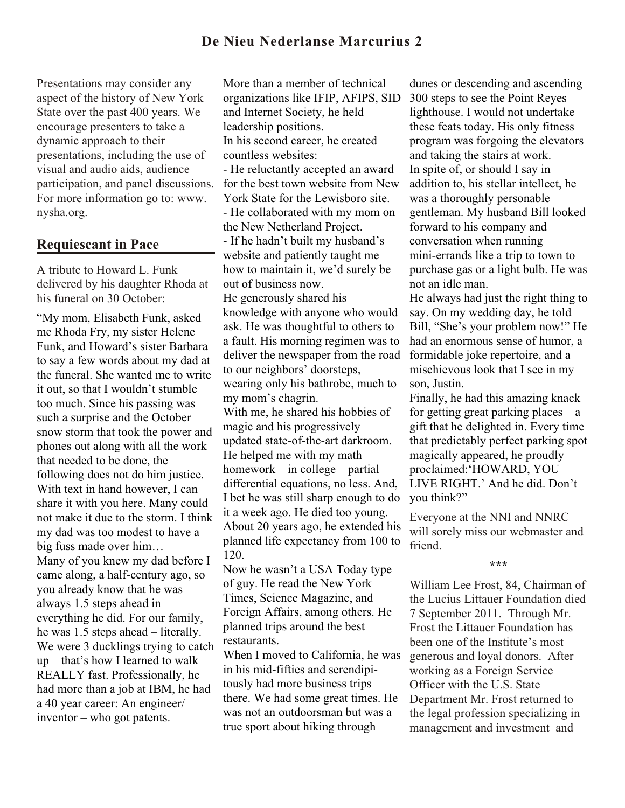Presentations may consider any aspect of the history of New York State over the past 400 years. We encourage presenters to take a dynamic approach to their presentations, including the use of visual and audio aids, audience participation, and panel discussions. For more information go to: www. nysha.org.

## **Requiescant in Pace**

A tribute to Howard L. Funk delivered by his daughter Rhoda at his funeral on 30 October:

"My mom, Elisabeth Funk, asked me Rhoda Fry, my sister Helene Funk, and Howard's sister Barbara to say a few words about my dad at the funeral. She wanted me to write it out, so that I wouldn't stumble too much. Since his passing was such a surprise and the October snow storm that took the power and phones out along with all the work that needed to be done, the following does not do him justice. With text in hand however, I can share it with you here. Many could not make it due to the storm. I think my dad was too modest to have a big fuss made over him… Many of you knew my dad before I came along, a half-century ago, so you already know that he was always 1.5 steps ahead in everything he did. For our family, he was 1.5 steps ahead – literally. We were 3 ducklings trying to catch up – that's how I learned to walk REALLY fast. Professionally, he had more than a job at IBM, he had a 40 year career: An engineer/ inventor – who got patents.

More than a member of technical organizations like IFIP, AFIPS, SID and Internet Society, he held leadership positions. In his second career, he created countless websites: - He reluctantly accepted an award for the best town website from New York State for the Lewisboro site. - He collaborated with my mom on the New Netherland Project. - If he hadn't built my husband's website and patiently taught me how to maintain it, we'd surely be out of business now. He generously shared his knowledge with anyone who would ask. He was thoughtful to others to a fault. His morning regimen was to deliver the newspaper from the road to our neighbors' doorsteps, wearing only his bathrobe, much to my mom's chagrin. With me, he shared his hobbies of magic and his progressively updated state-of-the-art darkroom. He helped me with my math homework – in college – partial differential equations, no less. And, I bet he was still sharp enough to do it a week ago. He died too young. About 20 years ago, he extended his planned life expectancy from 100 to 120. Now he wasn't a USA Today type

of guy. He read the New York Times, Science Magazine, and Foreign Affairs, among others. He planned trips around the best restaurants.

When I moved to California, he was in his mid-fifties and serendipitously had more business trips there. We had some great times. He was not an outdoorsman but was a true sport about hiking through

dunes or descending and ascending 300 steps to see the Point Reyes lighthouse. I would not undertake these feats today. His only fitness program was forgoing the elevators and taking the stairs at work. In spite of, or should I say in addition to, his stellar intellect, he was a thoroughly personable gentleman. My husband Bill looked forward to his company and conversation when running mini-errands like a trip to town to purchase gas or a light bulb. He was not an idle man.

He always had just the right thing to say. On my wedding day, he told Bill, "She's your problem now!" He had an enormous sense of humor, a formidable joke repertoire, and a mischievous look that I see in my son, Justin.

Finally, he had this amazing knack for getting great parking places  $-$  a gift that he delighted in. Every time that predictably perfect parking spot magically appeared, he proudly proclaimed:'HOWARD, YOU LIVE RIGHT.' And he did. Don't you think?"

Everyone at the NNI and NNRC will sorely miss our webmaster and friend.

#### **\*\*\***

William Lee Frost, 84, Chairman of the Lucius Littauer Foundation died 7 September 2011. Through Mr. Frost the Littauer Foundation has been one of the Institute's most generous and loyal donors. After working as a Foreign Service Officer with the U.S. State Department Mr. Frost returned to the legal profession specializing in management and investment and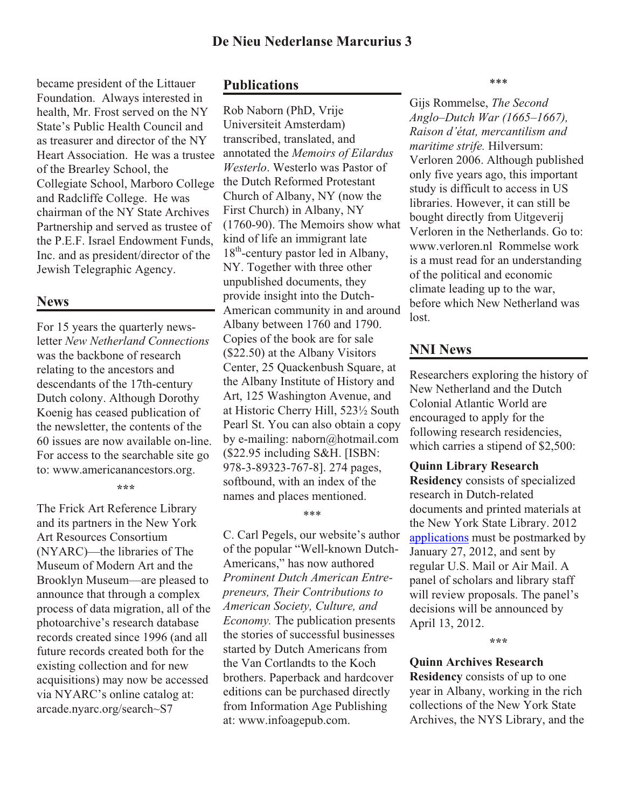became president of the Littauer Foundation. Always interested in health, Mr. Frost served on the NY State's Public Health Council and as treasurer and director of the NY Heart Association. He was a trustee of the Brearley School, the Collegiate School, Marboro College and Radcliffe College. He was chairman of the NY State Archives Partnership and served as trustee of the P.E.F. Israel Endowment Funds, Inc. and as president/director of the Jewish Telegraphic Agency.

# **News**

For 15 years the quarterly newsletter *New Netherland Connections* was the backbone of research relating to the ancestors and descendants of the 17th-century Dutch colony. Although Dorothy Koenig has ceased publication of the newsletter, the contents of the 60 issues are now available on-line. For access to the searchable site go to: www.americanancestors.org.

#### **\*\*\***

The Frick Art Reference Library and its partners in the New York Art Resources Consortium (NYARC)—the libraries of The Museum of Modern Art and the Brooklyn Museum—are pleased to announce that through a complex process of data migration, all of the photoarchive's research database records created since 1996 (and all future records created both for the existing collection and for new acquisitions) may now be accessed via NYARC's online catalog at: arcade.nyarc.org/search~S7

### **Publications**

Rob Naborn (PhD, Vrije Universiteit Amsterdam) transcribed, translated, and annotated the *Memoirs of Eilardus Westerlo*. Westerlo was Pastor of the Dutch Reformed Protestant Church of Albany, NY (now the First Church) in Albany, NY (1760-90). The Memoirs show what kind of life an immigrant late  $18<sup>th</sup>$ -century pastor led in Albany, NY. Together with three other unpublished documents, they provide insight into the Dutch-American community in and around Albany between 1760 and 1790. Copies of the book are for sale (\$22.50) at the Albany Visitors Center, 25 Quackenbush Square, at the Albany Institute of History and Art, 125 Washington Avenue, and at Historic Cherry Hill, 523½ South Pearl St. You can also obtain a copy by e-mailing: naborn@hotmail.com (\$22.95 including S&H. [ISBN: 978-3-89323-767-8]. 274 pages, softbound, with an index of the names and places mentioned.

### \*\*\*

C. Carl Pegels, our website's author of the popular "Well-known Dutch-Americans," has now authored *Prominent Dutch American Entrepreneurs, Their Contributions to American Society, Culture, and Economy.* The publication presents the stories of successful businesses started by Dutch Americans from the Van Cortlandts to the Koch brothers. Paperback and hardcover editions can be purchased directly from Information Age Publishing at: www.infoagepub.com.

\*\*\*

Gijs Rommelse, *The Second Anglo–Dutch War (1665–1667), Raison d'état, mercantilism and maritime strife.* Hilversum: Verloren 2006. Although published only five years ago, this important study is difficult to access in US libraries. However, it can still be bought directly from Uitgeverij Verloren in the Netherlands. Go to: www.verloren.nl Rommelse work is a must read for an understanding of the political and economic climate leading up to the war, before which New Netherland was lost.

# **NNI News**

Researchers exploring the history of New Netherland and the Dutch Colonial Atlantic World are encouraged to apply for the following research residencies, which carries a stipend of \$2,500:

### **Quinn Library Research**

**Residency** consists of specialized research in Dutch-related documents and printed materials at the New York State Library. 2012 applications must be postmarked by January 27, 2012, and sent by regular U.S. Mail or Air Mail. A panel of scholars and library staff will review proposals. The panel's decisions will be announced by April 13, 2012.

#### **\*\*\***

## **Quinn Archives Research**

**Residency** consists of up to one year in Albany, working in the rich collections of the New York State Archives, the NYS Library, and the